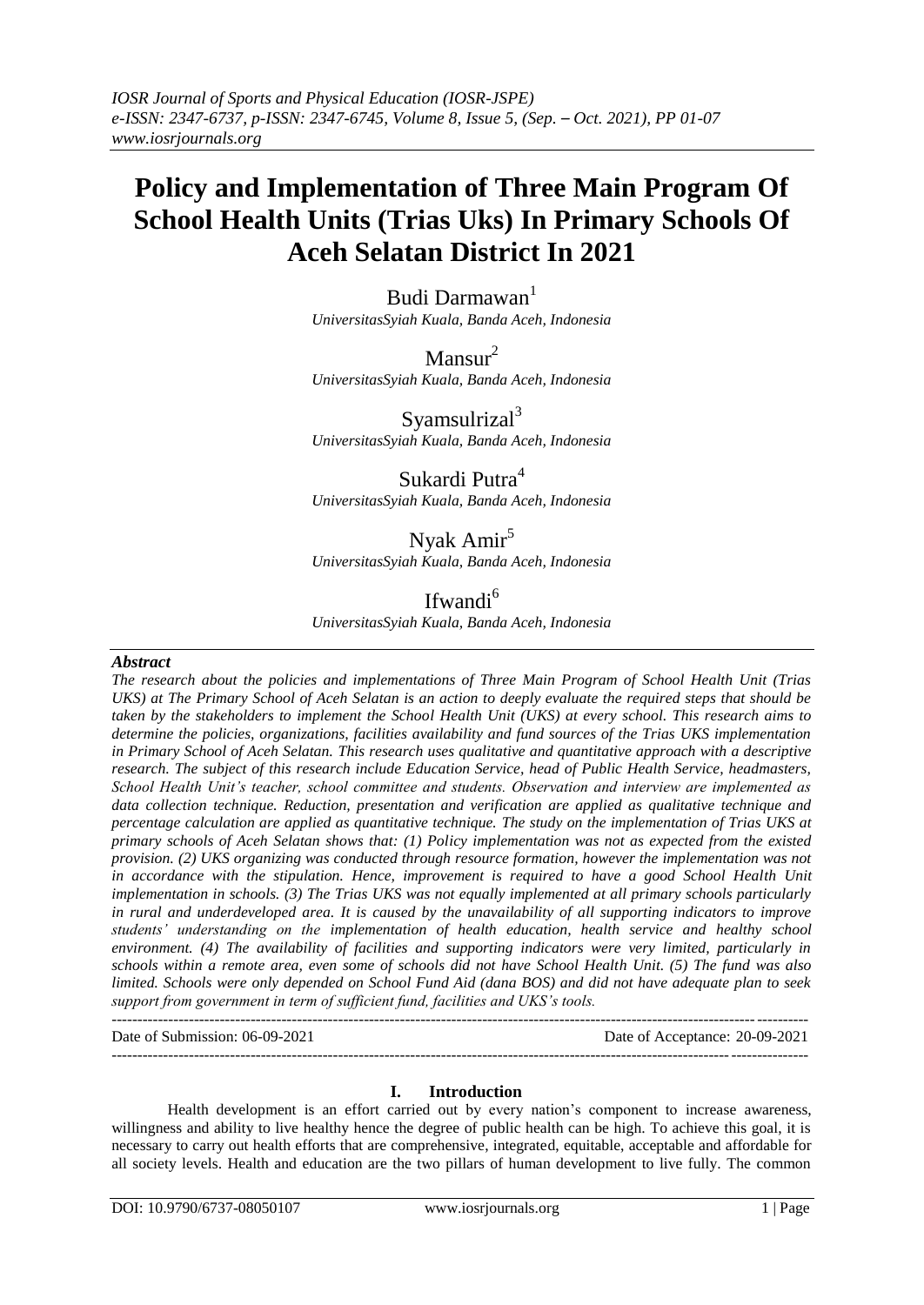# **Policy and Implementation of Three Main Program Of School Health Units (Trias Uks) In Primary Schools Of Aceh Selatan District In 2021**

Budi Darmawan<sup>1</sup> *UniversitasSyiah Kuala, Banda Aceh, Indonesia*

Mansur<sup>2</sup> *UniversitasSyiah Kuala, Banda Aceh, Indonesia*

Syamsulrizal<sup>3</sup> *UniversitasSyiah Kuala, Banda Aceh, Indonesia*

Sukardi Putra<sup>4</sup> *UniversitasSyiah Kuala, Banda Aceh, Indonesia*

Nyak Amir<sup>5</sup>

*UniversitasSyiah Kuala, Banda Aceh, Indonesia*

Ifwandi<sup>6</sup> *UniversitasSyiah Kuala, Banda Aceh, Indonesia*

## *Abstract*

*The research about the policies and implementations of Three Main Program of School Health Unit (Trias UKS) at The Primary School of Aceh Selatan is an action to deeply evaluate the required steps that should be taken by the stakeholders to implement the School Health Unit (UKS) at every school. This research aims to determine the policies, organizations, facilities availability and fund sources of the Trias UKS implementation in Primary School of Aceh Selatan. This research uses qualitative and quantitative approach with a descriptive research. The subject of this research include Education Service, head of Public Health Service, headmasters, School Health Unit's teacher, school committee and students. Observation and interview are implemented as data collection technique. Reduction, presentation and verification are applied as qualitative technique and percentage calculation are applied as quantitative technique. The study on the implementation of Trias UKS at primary schools of Aceh Selatan shows that: (1) Policy implementation was not as expected from the existed provision. (2) UKS organizing was conducted through resource formation, however the implementation was not in accordance with the stipulation. Hence, improvement is required to have a good School Health Unit implementation in schools. (3) The Trias UKS was not equally implemented at all primary schools particularly in rural and underdeveloped area. It is caused by the unavailability of all supporting indicators to improve students' understanding on the implementation of health education, health service and healthy school environment. (4) The availability of facilities and supporting indicators were very limited, particularly in schools within a remote area, even some of schools did not have School Health Unit. (5) The fund was also limited. Schools were only depended on School Fund Aid (dana BOS) and did not have adequate plan to seek support from government in term of sufficient fund, facilities and UKS's tools.*

Date of Submission: 06-09-2021 Date of Acceptance: 20-09-2021 ---------------------------------------------------------------------------------------------------------------------------------------

### **I. Introduction**

---------------------------------------------------------------------------------------------------------------------------------------

Health development is an effort carried out by every nation's component to increase awareness, willingness and ability to live healthy hence the degree of public health can be high. To achieve this goal, it is necessary to carry out health efforts that are comprehensive, integrated, equitable, acceptable and affordable for all society levels. Health and education are the two pillars of human development to live fully. The common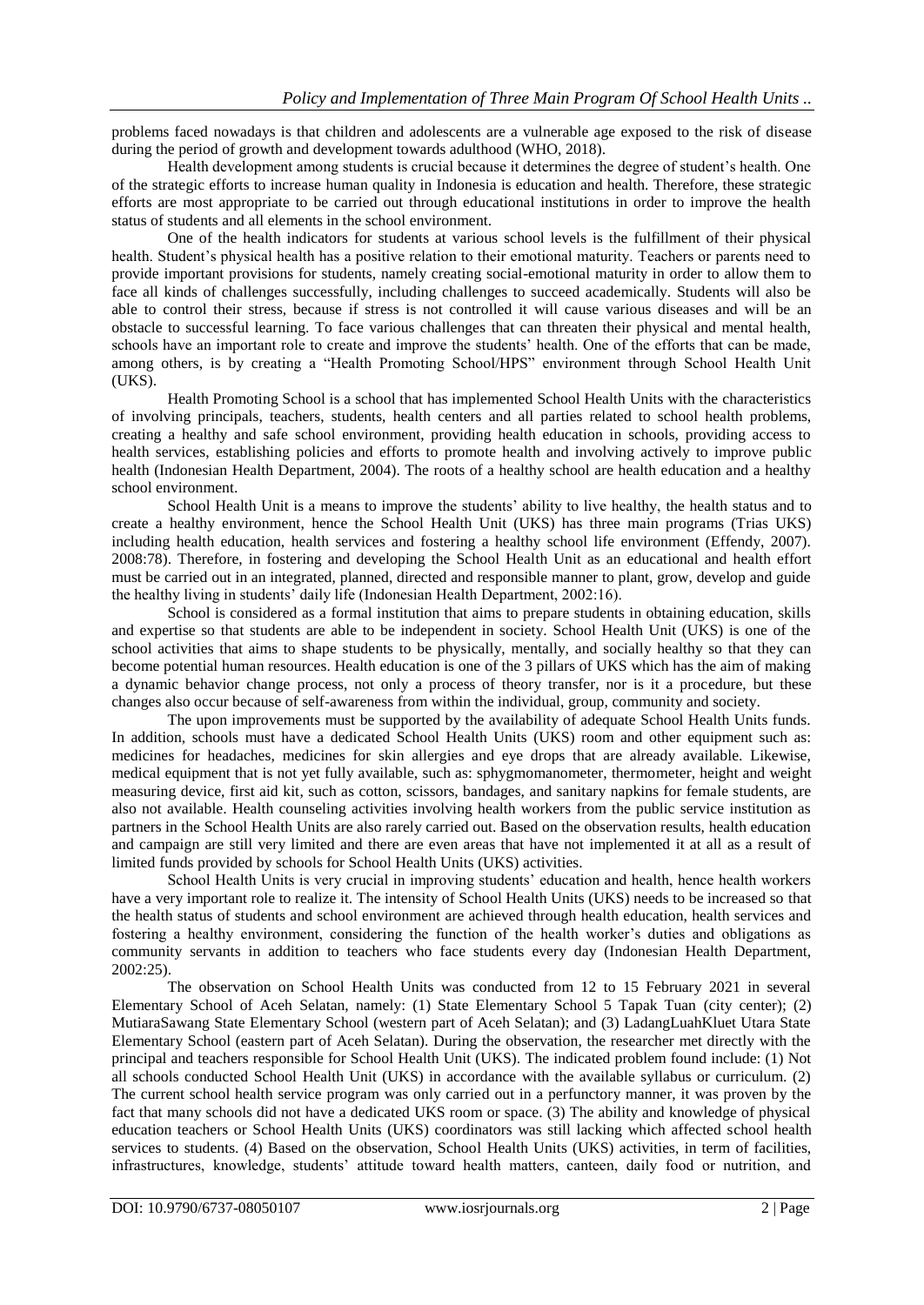problems faced nowadays is that children and adolescents are a vulnerable age exposed to the risk of disease during the period of growth and development towards adulthood (WHO, 2018).

Health development among students is crucial because it determines the degree of student's health. One of the strategic efforts to increase human quality in Indonesia is education and health. Therefore, these strategic efforts are most appropriate to be carried out through educational institutions in order to improve the health status of students and all elements in the school environment.

One of the health indicators for students at various school levels is the fulfillment of their physical health. Student's physical health has a positive relation to their emotional maturity. Teachers or parents need to provide important provisions for students, namely creating social-emotional maturity in order to allow them to face all kinds of challenges successfully, including challenges to succeed academically. Students will also be able to control their stress, because if stress is not controlled it will cause various diseases and will be an obstacle to successful learning. To face various challenges that can threaten their physical and mental health, schools have an important role to create and improve the students' health. One of the efforts that can be made, among others, is by creating a "Health Promoting School/HPS" environment through School Health Unit (UKS).

Health Promoting School is a school that has implemented School Health Units with the characteristics of involving principals, teachers, students, health centers and all parties related to school health problems, creating a healthy and safe school environment, providing health education in schools, providing access to health services, establishing policies and efforts to promote health and involving actively to improve public health (Indonesian Health Department, 2004). The roots of a healthy school are health education and a healthy school environment.

School Health Unit is a means to improve the students' ability to live healthy, the health status and to create a healthy environment, hence the School Health Unit (UKS) has three main programs (Trias UKS) including health education, health services and fostering a healthy school life environment (Effendy, 2007). 2008:78). Therefore, in fostering and developing the School Health Unit as an educational and health effort must be carried out in an integrated, planned, directed and responsible manner to plant, grow, develop and guide the healthy living in students' daily life (Indonesian Health Department, 2002:16).

School is considered as a formal institution that aims to prepare students in obtaining education, skills and expertise so that students are able to be independent in society. School Health Unit (UKS) is one of the school activities that aims to shape students to be physically, mentally, and socially healthy so that they can become potential human resources. Health education is one of the 3 pillars of UKS which has the aim of making a dynamic behavior change process, not only a process of theory transfer, nor is it a procedure, but these changes also occur because of self-awareness from within the individual, group, community and society.

The upon improvements must be supported by the availability of adequate School Health Units funds. In addition, schools must have a dedicated School Health Units (UKS) room and other equipment such as: medicines for headaches, medicines for skin allergies and eye drops that are already available. Likewise, medical equipment that is not yet fully available, such as: sphygmomanometer, thermometer, height and weight measuring device, first aid kit, such as cotton, scissors, bandages, and sanitary napkins for female students, are also not available. Health counseling activities involving health workers from the public service institution as partners in the School Health Units are also rarely carried out. Based on the observation results, health education and campaign are still very limited and there are even areas that have not implemented it at all as a result of limited funds provided by schools for School Health Units (UKS) activities.

School Health Units is very crucial in improving students' education and health, hence health workers have a very important role to realize it. The intensity of School Health Units (UKS) needs to be increased so that the health status of students and school environment are achieved through health education, health services and fostering a healthy environment, considering the function of the health worker's duties and obligations as community servants in addition to teachers who face students every day (Indonesian Health Department, 2002:25).

The observation on School Health Units was conducted from 12 to 15 February 2021 in several Elementary School of Aceh Selatan, namely: (1) State Elementary School 5 Tapak Tuan (city center); (2) MutiaraSawang State Elementary School (western part of Aceh Selatan); and (3) LadangLuahKluet Utara State Elementary School (eastern part of Aceh Selatan). During the observation, the researcher met directly with the principal and teachers responsible for School Health Unit (UKS). The indicated problem found include: (1) Not all schools conducted School Health Unit (UKS) in accordance with the available syllabus or curriculum. (2) The current school health service program was only carried out in a perfunctory manner, it was proven by the fact that many schools did not have a dedicated UKS room or space. (3) The ability and knowledge of physical education teachers or School Health Units (UKS) coordinators was still lacking which affected school health services to students. (4) Based on the observation, School Health Units (UKS) activities, in term of facilities, infrastructures, knowledge, students' attitude toward health matters, canteen, daily food or nutrition, and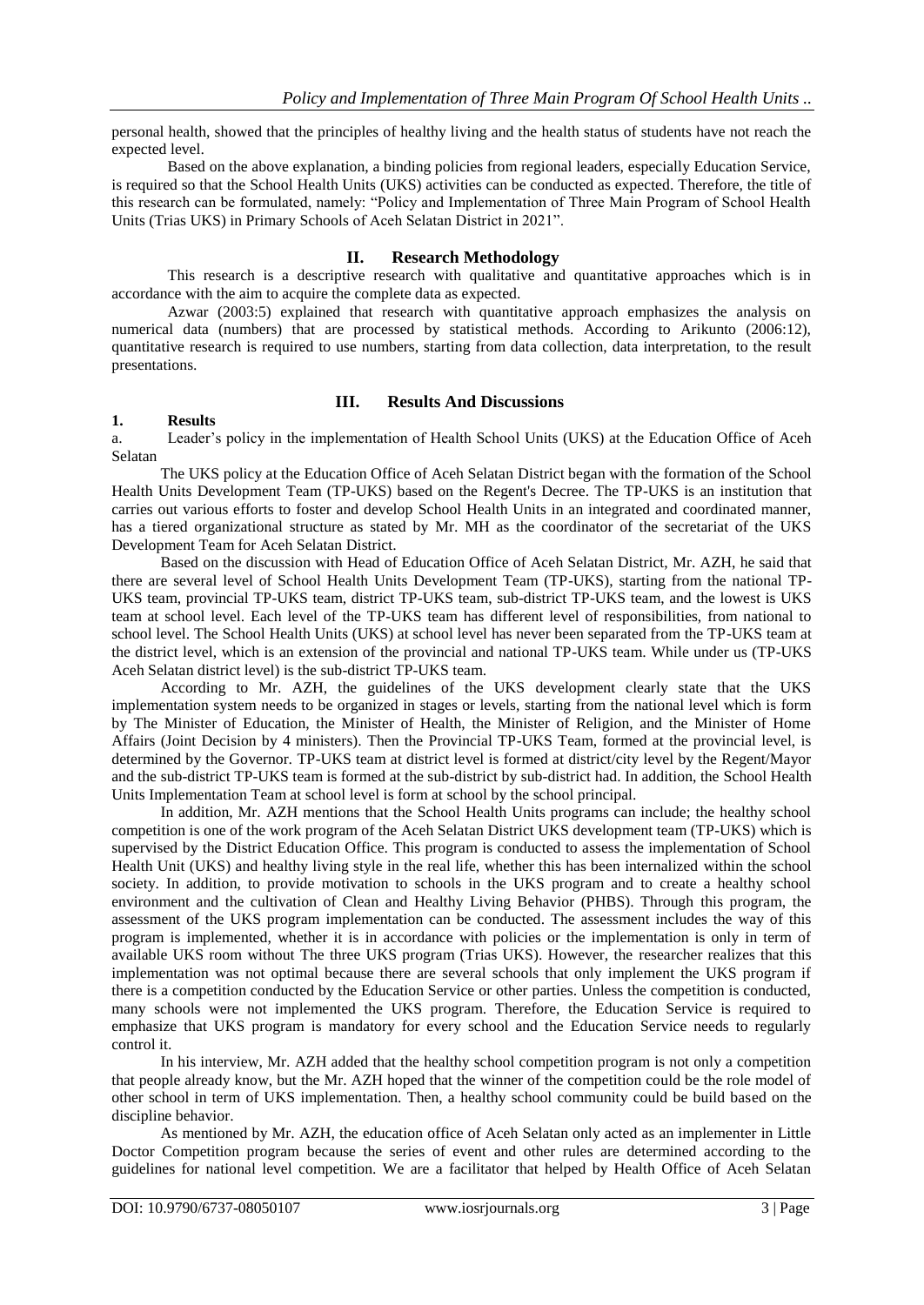personal health, showed that the principles of healthy living and the health status of students have not reach the expected level.

Based on the above explanation, a binding policies from regional leaders, especially Education Service, is required so that the School Health Units (UKS) activities can be conducted as expected. Therefore, the title of this research can be formulated, namely: "Policy and Implementation of Three Main Program of School Health Units (Trias UKS) in Primary Schools of Aceh Selatan District in 2021".

### **II. Research Methodology**

This research is a descriptive research with qualitative and quantitative approaches which is in accordance with the aim to acquire the complete data as expected.

Azwar (2003:5) explained that research with quantitative approach emphasizes the analysis on numerical data (numbers) that are processed by statistical methods. According to Arikunto (2006:12), quantitative research is required to use numbers, starting from data collection, data interpretation, to the result presentations.

# **III. Results And Discussions**

### **1. Results**

a. Leader's policy in the implementation of Health School Units (UKS) at the Education Office of Aceh Selatan

The UKS policy at the Education Office of Aceh Selatan District began with the formation of the School Health Units Development Team (TP-UKS) based on the Regent's Decree. The TP-UKS is an institution that carries out various efforts to foster and develop School Health Units in an integrated and coordinated manner, has a tiered organizational structure as stated by Mr. MH as the coordinator of the secretariat of the UKS Development Team for Aceh Selatan District.

Based on the discussion with Head of Education Office of Aceh Selatan District, Mr. AZH, he said that there are several level of School Health Units Development Team (TP-UKS), starting from the national TP-UKS team, provincial TP-UKS team, district TP-UKS team, sub-district TP-UKS team, and the lowest is UKS team at school level. Each level of the TP-UKS team has different level of responsibilities, from national to school level. The School Health Units (UKS) at school level has never been separated from the TP-UKS team at the district level, which is an extension of the provincial and national TP-UKS team. While under us (TP-UKS Aceh Selatan district level) is the sub-district TP-UKS team.

According to Mr. AZH, the guidelines of the UKS development clearly state that the UKS implementation system needs to be organized in stages or levels, starting from the national level which is form by The Minister of Education, the Minister of Health, the Minister of Religion, and the Minister of Home Affairs (Joint Decision by 4 ministers). Then the Provincial TP-UKS Team, formed at the provincial level, is determined by the Governor. TP-UKS team at district level is formed at district/city level by the Regent/Mayor and the sub-district TP-UKS team is formed at the sub-district by sub-district had. In addition, the School Health Units Implementation Team at school level is form at school by the school principal.

In addition, Mr. AZH mentions that the School Health Units programs can include; the healthy school competition is one of the work program of the Aceh Selatan District UKS development team (TP-UKS) which is supervised by the District Education Office. This program is conducted to assess the implementation of School Health Unit (UKS) and healthy living style in the real life, whether this has been internalized within the school society. In addition, to provide motivation to schools in the UKS program and to create a healthy school environment and the cultivation of Clean and Healthy Living Behavior (PHBS). Through this program, the assessment of the UKS program implementation can be conducted. The assessment includes the way of this program is implemented, whether it is in accordance with policies or the implementation is only in term of available UKS room without The three UKS program (Trias UKS). However, the researcher realizes that this implementation was not optimal because there are several schools that only implement the UKS program if there is a competition conducted by the Education Service or other parties. Unless the competition is conducted, many schools were not implemented the UKS program. Therefore, the Education Service is required to emphasize that UKS program is mandatory for every school and the Education Service needs to regularly control it.

In his interview, Mr. AZH added that the healthy school competition program is not only a competition that people already know, but the Mr. AZH hoped that the winner of the competition could be the role model of other school in term of UKS implementation. Then, a healthy school community could be build based on the discipline behavior.

As mentioned by Mr. AZH, the education office of Aceh Selatan only acted as an implementer in Little Doctor Competition program because the series of event and other rules are determined according to the guidelines for national level competition. We are a facilitator that helped by Health Office of Aceh Selatan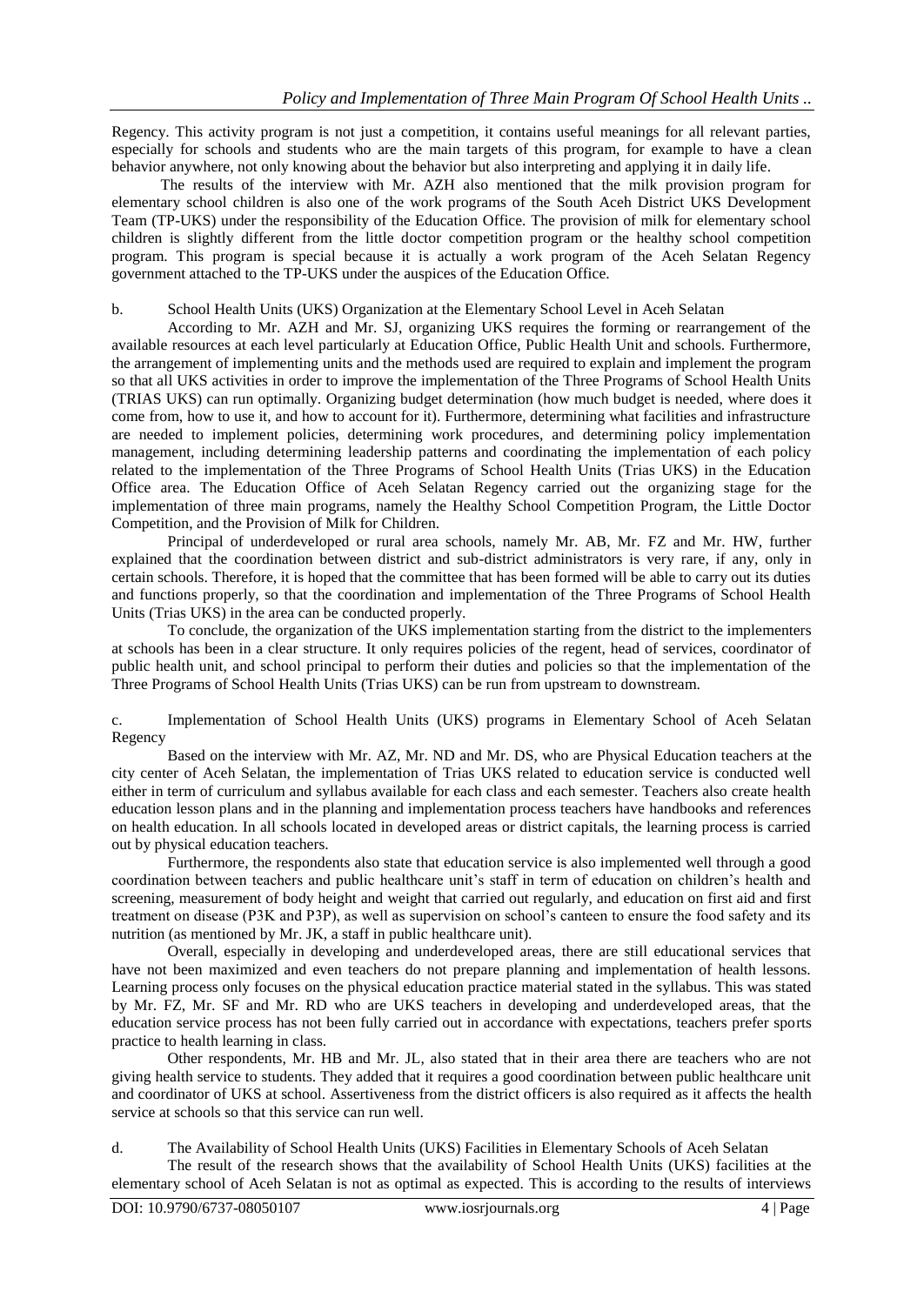Regency. This activity program is not just a competition, it contains useful meanings for all relevant parties, especially for schools and students who are the main targets of this program, for example to have a clean behavior anywhere, not only knowing about the behavior but also interpreting and applying it in daily life.

The results of the interview with Mr. AZH also mentioned that the milk provision program for elementary school children is also one of the work programs of the South Aceh District UKS Development Team (TP-UKS) under the responsibility of the Education Office. The provision of milk for elementary school children is slightly different from the little doctor competition program or the healthy school competition program. This program is special because it is actually a work program of the Aceh Selatan Regency government attached to the TP-UKS under the auspices of the Education Office.

## b. School Health Units (UKS) Organization at the Elementary School Level in Aceh Selatan

According to Mr. AZH and Mr. SJ, organizing UKS requires the forming or rearrangement of the available resources at each level particularly at Education Office, Public Health Unit and schools. Furthermore, the arrangement of implementing units and the methods used are required to explain and implement the program so that all UKS activities in order to improve the implementation of the Three Programs of School Health Units (TRIAS UKS) can run optimally. Organizing budget determination (how much budget is needed, where does it come from, how to use it, and how to account for it). Furthermore, determining what facilities and infrastructure are needed to implement policies, determining work procedures, and determining policy implementation management, including determining leadership patterns and coordinating the implementation of each policy related to the implementation of the Three Programs of School Health Units (Trias UKS) in the Education Office area. The Education Office of Aceh Selatan Regency carried out the organizing stage for the implementation of three main programs, namely the Healthy School Competition Program, the Little Doctor Competition, and the Provision of Milk for Children.

Principal of underdeveloped or rural area schools, namely Mr. AB, Mr. FZ and Mr. HW, further explained that the coordination between district and sub-district administrators is very rare, if any, only in certain schools. Therefore, it is hoped that the committee that has been formed will be able to carry out its duties and functions properly, so that the coordination and implementation of the Three Programs of School Health Units (Trias UKS) in the area can be conducted properly.

To conclude, the organization of the UKS implementation starting from the district to the implementers at schools has been in a clear structure. It only requires policies of the regent, head of services, coordinator of public health unit, and school principal to perform their duties and policies so that the implementation of the Three Programs of School Health Units (Trias UKS) can be run from upstream to downstream.

c. Implementation of School Health Units (UKS) programs in Elementary School of Aceh Selatan Regency

Based on the interview with Mr. AZ, Mr. ND and Mr. DS, who are Physical Education teachers at the city center of Aceh Selatan, the implementation of Trias UKS related to education service is conducted well either in term of curriculum and syllabus available for each class and each semester. Teachers also create health education lesson plans and in the planning and implementation process teachers have handbooks and references on health education. In all schools located in developed areas or district capitals, the learning process is carried out by physical education teachers.

Furthermore, the respondents also state that education service is also implemented well through a good coordination between teachers and public healthcare unit's staff in term of education on children's health and screening, measurement of body height and weight that carried out regularly, and education on first aid and first treatment on disease (P3K and P3P), as well as supervision on school's canteen to ensure the food safety and its nutrition (as mentioned by Mr. JK, a staff in public healthcare unit).

Overall, especially in developing and underdeveloped areas, there are still educational services that have not been maximized and even teachers do not prepare planning and implementation of health lessons. Learning process only focuses on the physical education practice material stated in the syllabus. This was stated by Mr. FZ, Mr. SF and Mr. RD who are UKS teachers in developing and underdeveloped areas, that the education service process has not been fully carried out in accordance with expectations, teachers prefer sports practice to health learning in class.

Other respondents, Mr. HB and Mr. JL, also stated that in their area there are teachers who are not giving health service to students. They added that it requires a good coordination between public healthcare unit and coordinator of UKS at school. Assertiveness from the district officers is also required as it affects the health service at schools so that this service can run well.

d. The Availability of School Health Units (UKS) Facilities in Elementary Schools of Aceh Selatan

The result of the research shows that the availability of School Health Units (UKS) facilities at the elementary school of Aceh Selatan is not as optimal as expected. This is according to the results of interviews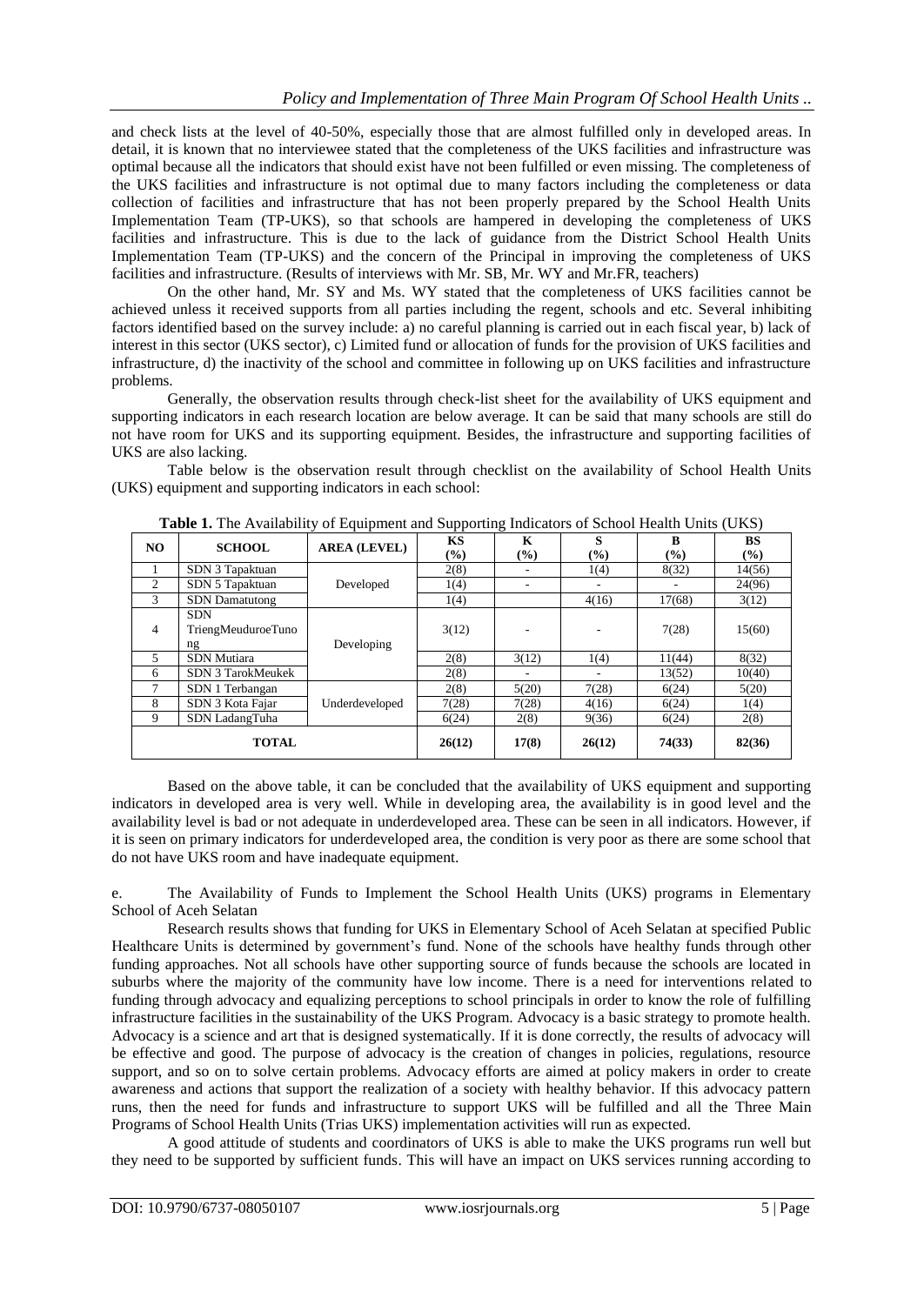and check lists at the level of 40-50%, especially those that are almost fulfilled only in developed areas. In detail, it is known that no interviewee stated that the completeness of the UKS facilities and infrastructure was optimal because all the indicators that should exist have not been fulfilled or even missing. The completeness of the UKS facilities and infrastructure is not optimal due to many factors including the completeness or data collection of facilities and infrastructure that has not been properly prepared by the School Health Units Implementation Team (TP-UKS), so that schools are hampered in developing the completeness of UKS facilities and infrastructure. This is due to the lack of guidance from the District School Health Units Implementation Team (TP-UKS) and the concern of the Principal in improving the completeness of UKS facilities and infrastructure. (Results of interviews with Mr. SB, Mr. WY and Mr.FR, teachers)

On the other hand, Mr. SY and Ms. WY stated that the completeness of UKS facilities cannot be achieved unless it received supports from all parties including the regent, schools and etc. Several inhibiting factors identified based on the survey include: a) no careful planning is carried out in each fiscal year, b) lack of interest in this sector (UKS sector), c) Limited fund or allocation of funds for the provision of UKS facilities and infrastructure, d) the inactivity of the school and committee in following up on UKS facilities and infrastructure problems.

Generally, the observation results through check-list sheet for the availability of UKS equipment and supporting indicators in each research location are below average. It can be said that many schools are still do not have room for UKS and its supporting equipment. Besides, the infrastructure and supporting facilities of UKS are also lacking.

Table below is the observation result through checklist on the availability of School Health Units (UKS) equipment and supporting indicators in each school:

| NO.          | <b>SCHOOL</b>         | <b>AREA (LEVEL)</b> | KS     | K      | S             | B                          | <b>BS</b> |
|--------------|-----------------------|---------------------|--------|--------|---------------|----------------------------|-----------|
|              |                       |                     | $(\%)$ | $(\%)$ | $\frac{6}{9}$ | $\left(\frac{0}{0}\right)$ | (9/0)     |
|              | SDN 3 Tapaktuan       | Developed           | 2(8)   |        | 1(4)          | 8(32)                      | 14(56)    |
| 2            | SDN 5 Tapaktuan       |                     | 1(4)   |        |               |                            | 24(96)    |
| 3            | <b>SDN</b> Damatutong |                     | 1(4)   |        | 4(16)         | 17(68)                     | 3(12)     |
| 4            | <b>SDN</b>            | Developing          | 3(12)  |        |               | 7(28)                      | 15(60)    |
|              | TriengMeuduroeTuno    |                     |        |        |               |                            |           |
|              | ng                    |                     |        |        |               |                            |           |
| 5            | SDN Mutiara           |                     | 2(8)   | 3(12)  | 1(4)          | 11(44)                     | 8(32)     |
| 6            | SDN 3 TarokMeukek     |                     | 2(8)   |        |               | 13(52)                     | 10(40)    |
| 7            | SDN 1 Terbangan       | Underdeveloped      | 2(8)   | 5(20)  | 7(28)         | 6(24)                      | 5(20)     |
| 8            | SDN 3 Kota Fajar      |                     | 7(28)  | 7(28)  | 4(16)         | 6(24)                      | 1(4)      |
| 9            | SDN LadangTuha        |                     | 6(24)  | 2(8)   | 9(36)         | 6(24)                      | 2(8)      |
| <b>TOTAL</b> |                       |                     | 26(12) | 17(8)  | 26(12)        | 74(33)                     | 82(36)    |

**Table 1.** The Availability of Equipment and Supporting Indicators of School Health Units (UKS)

Based on the above table, it can be concluded that the availability of UKS equipment and supporting indicators in developed area is very well. While in developing area, the availability is in good level and the availability level is bad or not adequate in underdeveloped area. These can be seen in all indicators. However, if it is seen on primary indicators for underdeveloped area, the condition is very poor as there are some school that do not have UKS room and have inadequate equipment.

e. The Availability of Funds to Implement the School Health Units (UKS) programs in Elementary School of Aceh Selatan

Research results shows that funding for UKS in Elementary School of Aceh Selatan at specified Public Healthcare Units is determined by government's fund. None of the schools have healthy funds through other funding approaches. Not all schools have other supporting source of funds because the schools are located in suburbs where the majority of the community have low income. There is a need for interventions related to funding through advocacy and equalizing perceptions to school principals in order to know the role of fulfilling infrastructure facilities in the sustainability of the UKS Program. Advocacy is a basic strategy to promote health. Advocacy is a science and art that is designed systematically. If it is done correctly, the results of advocacy will be effective and good. The purpose of advocacy is the creation of changes in policies, regulations, resource support, and so on to solve certain problems. Advocacy efforts are aimed at policy makers in order to create awareness and actions that support the realization of a society with healthy behavior. If this advocacy pattern runs, then the need for funds and infrastructure to support UKS will be fulfilled and all the Three Main Programs of School Health Units (Trias UKS) implementation activities will run as expected.

A good attitude of students and coordinators of UKS is able to make the UKS programs run well but they need to be supported by sufficient funds. This will have an impact on UKS services running according to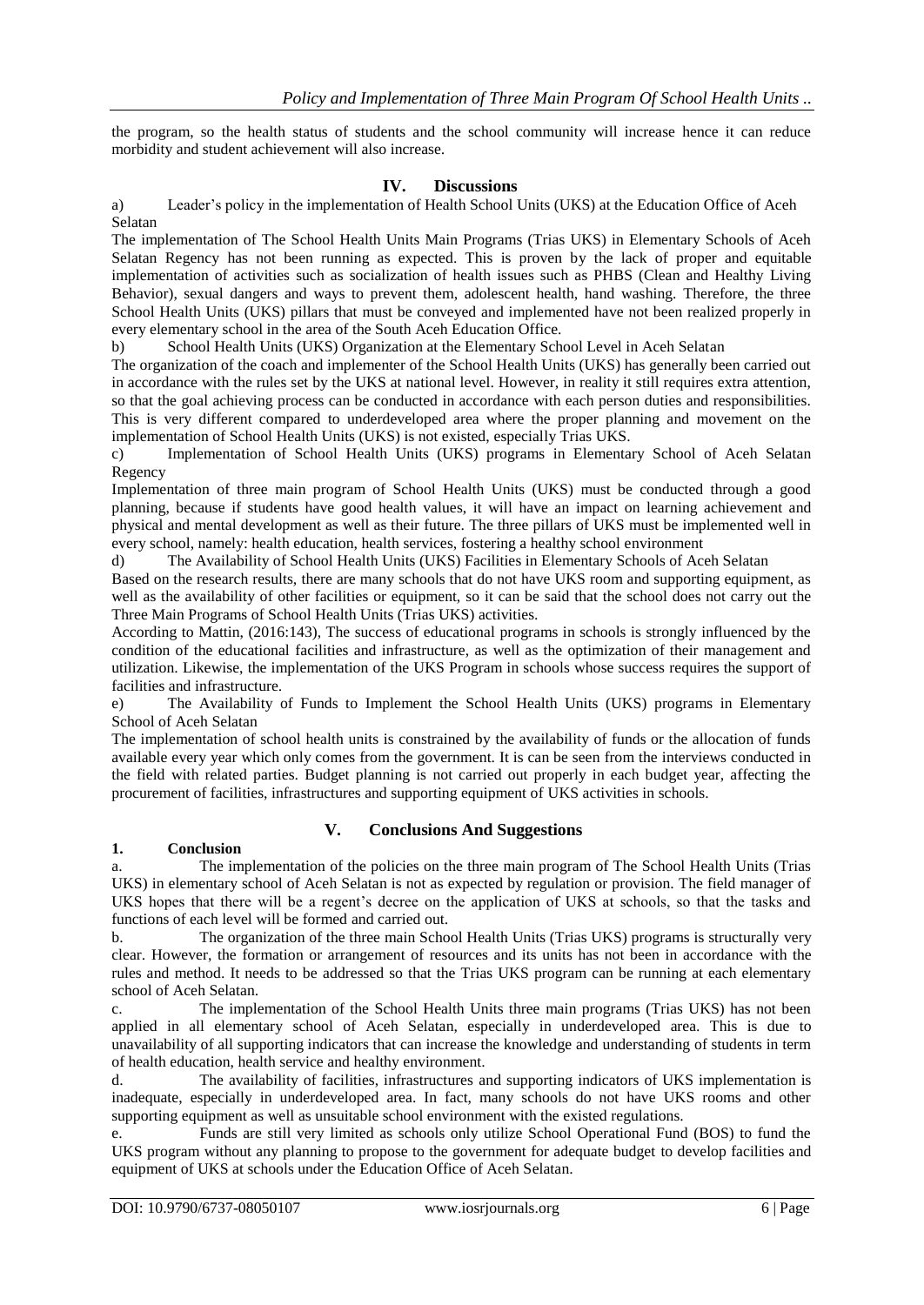the program, so the health status of students and the school community will increase hence it can reduce morbidity and student achievement will also increase.

## **IV. Discussions**

a) Leader's policy in the implementation of Health School Units (UKS) at the Education Office of Aceh Selatan

The implementation of The School Health Units Main Programs (Trias UKS) in Elementary Schools of Aceh Selatan Regency has not been running as expected. This is proven by the lack of proper and equitable implementation of activities such as socialization of health issues such as PHBS (Clean and Healthy Living Behavior), sexual dangers and ways to prevent them, adolescent health, hand washing. Therefore, the three School Health Units (UKS) pillars that must be conveyed and implemented have not been realized properly in every elementary school in the area of the South Aceh Education Office.

b) School Health Units (UKS) Organization at the Elementary School Level in Aceh Selatan

The organization of the coach and implementer of the School Health Units (UKS) has generally been carried out in accordance with the rules set by the UKS at national level. However, in reality it still requires extra attention, so that the goal achieving process can be conducted in accordance with each person duties and responsibilities. This is very different compared to underdeveloped area where the proper planning and movement on the implementation of School Health Units (UKS) is not existed, especially Trias UKS.

c) Implementation of School Health Units (UKS) programs in Elementary School of Aceh Selatan Regency

Implementation of three main program of School Health Units (UKS) must be conducted through a good planning, because if students have good health values, it will have an impact on learning achievement and physical and mental development as well as their future. The three pillars of UKS must be implemented well in every school, namely: health education, health services, fostering a healthy school environment

d) The Availability of School Health Units (UKS) Facilities in Elementary Schools of Aceh Selatan

Based on the research results, there are many schools that do not have UKS room and supporting equipment, as well as the availability of other facilities or equipment, so it can be said that the school does not carry out the Three Main Programs of School Health Units (Trias UKS) activities.

According to Mattin, (2016:143), The success of educational programs in schools is strongly influenced by the condition of the educational facilities and infrastructure, as well as the optimization of their management and utilization. Likewise, the implementation of the UKS Program in schools whose success requires the support of facilities and infrastructure.

e) The Availability of Funds to Implement the School Health Units (UKS) programs in Elementary School of Aceh Selatan

The implementation of school health units is constrained by the availability of funds or the allocation of funds available every year which only comes from the government. It is can be seen from the interviews conducted in the field with related parties. Budget planning is not carried out properly in each budget year, affecting the procurement of facilities, infrastructures and supporting equipment of UKS activities in schools.

# **V. Conclusions And Suggestions**

## **1. Conclusion**

a. The implementation of the policies on the three main program of The School Health Units (Trias UKS) in elementary school of Aceh Selatan is not as expected by regulation or provision. The field manager of UKS hopes that there will be a regent's decree on the application of UKS at schools, so that the tasks and functions of each level will be formed and carried out.

b. The organization of the three main School Health Units (Trias UKS) programs is structurally very clear. However, the formation or arrangement of resources and its units has not been in accordance with the rules and method. It needs to be addressed so that the Trias UKS program can be running at each elementary school of Aceh Selatan.

c. The implementation of the School Health Units three main programs (Trias UKS) has not been applied in all elementary school of Aceh Selatan, especially in underdeveloped area. This is due to unavailability of all supporting indicators that can increase the knowledge and understanding of students in term of health education, health service and healthy environment.

d. The availability of facilities, infrastructures and supporting indicators of UKS implementation is inadequate, especially in underdeveloped area. In fact, many schools do not have UKS rooms and other supporting equipment as well as unsuitable school environment with the existed regulations.

e. Funds are still very limited as schools only utilize School Operational Fund (BOS) to fund the UKS program without any planning to propose to the government for adequate budget to develop facilities and equipment of UKS at schools under the Education Office of Aceh Selatan.